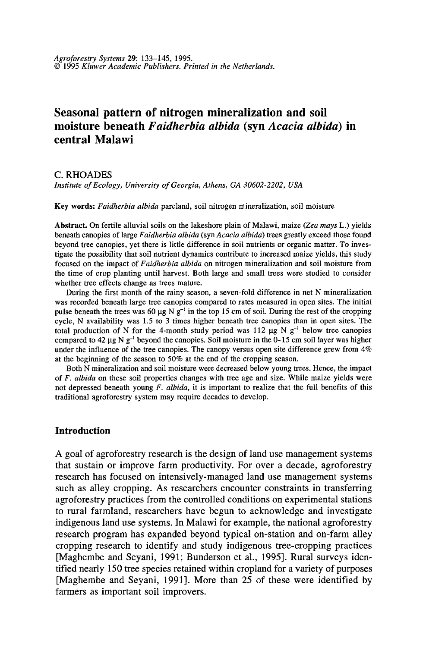# **Seasonal pattern of nitrogen mineralization and soil moisture beneath** *Faidherbia albida* **(syn** *Acacia albida)* **in central Malawi**

C.RHOADES

*Institute of Ecology, University of Georgia, Athens, GA 30602-2202, USA* 

Key words: *Faidherbia albida* parcland, soil nitrogen mineralization, soil moisture

Abstract. On fertile alluvial soils on the lakeshore plain of Malawi, maize *(Zea mays* L.) yields beneath canopies of large *F aidherbia albida* (syn *Acacia albida)* trees greatly exceed those found beyond tree canopies, yet there is little difference in soil nutrients or organic matter. To investigate the possibility that soil nutrient dynamics contribute to increased maize yields, this study focused on the impact of *Faidherbia albida* on nitrogen mineralization and soil moisture from the time of crop planting until harvest. Both large and small trees were studied to consider whether tree effects change as trees mature.

During the first month of the rainy season, a seven-fold difference in net N mineralization was recorded beneath large tree canopies compared to rates measured in open sites. The initial pulse beneath the trees was 60  $\mu$ g N g<sup>-1</sup> in the top 15 cm of soil. During the rest of the cropping cycle, N availability was 1.5 to 3 times higher beneath tree canopies than in open sites. The total production of N for the 4-month study period was 112  $\mu$ g N g<sup>-1</sup> below tree canopies compared to 42  $\mu$ g N g<sup>-1</sup> beyond the canopies. Soil moisture in the 0-15 cm soil layer was higher under the influence of the tree canopies. The canopy versus open site difference grew from  $4\%$ at the beginning of the season to 50% at the end of the cropping season.

Both N mineralization and soil moisture were decreased below young trees. Hence, the impact of *F. albida* on these soil properties changes with tree age and size. While maize yields were not depressed beneath young *F. albida,* it is important to realize that the full benefits of this traditional agroforestry system may require decades to develop.

#### **Introduction**

A goal of agroforestry research is the design of land use management systems that sustain or improve farm productivity. For over a decade, agroforestry research has focused on intensively-managed land use management systems such as alley cropping. As researchers encounter constraints in transferring agroforestry practices from the controlled conditions on experimental stations to rural farmland, researchers have begun to acknowledge and investigate indigenous land use systems. In Malawi for example, the national agroforestry research program has expanded beyond typical on-station and on-farm alley cropping research to identify and study indigenous tree-cropping practices [Maghembe and Seyani, 1991; Bunderson et al., 1995]. Rural surveys identified nearly 150 tree species retained within cropland for a variety of purposes [Maghembe and Seyani, 1991]. More than 25 of these were identified by farmers as important soil improvers.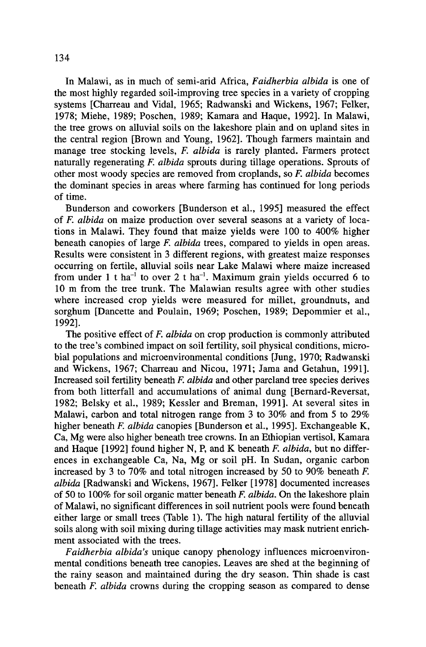In Malawi, as in much of semi-arid Africa, *Faidherbia albida* is one of the most highly regarded soil-improving tree species in a variety of cropping systems [Charreau and Vidal, 1965; Radwanski and Wickens, 1967; Felker, 1978; Miehe, 1989; Poschen, 1989; Kamara and Haque, 1992]. In Malawi, the tree grows on alluvial soils on the lakeshore plain and on upland sites in the central region [Brown and Young, 1962]. Though farmers maintain and manage tree stocking levels, *F. albida* is rarely planted. Farmers protect naturally regenerating F. *albida* sprouts during tillage operations. Sprouts of other most woody species are removed from croplands, so F. *albida* becomes the dominant species in areas where farming has continued for long periods of time.

Bunderson and coworkers [Bunderson et al., 1995] measured the effect of F. *albida* on maize production over several seasons at a variety of locations in Malawi. They found that maize yields were 100 to 400% higher beneath canopies of large *F. albida* trees, compared to yields in open areas. Results were consistent in 3 different regions, with greatest maize responses occurring on fertile, alluvial soils near Lake Malawi where maize increased from under 1 t ha<sup>-1</sup> to over 2 t ha<sup>-1</sup>. Maximum grain yields occurred 6 to 10 m from the tree trunk. The Malawian results agree with other studies where increased crop yields were measured for millet, groundnuts, and sorghum [Dancette and Poulain, 1969; Poschen, 1989; Depommier et al., 1992].

The positive effect of *F. albida* on crop production is commonly attributed to the tree's combined impact on soil fertility, soil physical conditions, microbial populations and microenvironmental conditions [Jung, 1970; Radwanski and Wickens, 1967; Charreau and Nicou, 1971; Jama and Getahun, 1991]. Increased soil fertility beneath F. *albida* and other parcland tree species derives from both litterfall and accumulations of animal dung [Bernard-Reversat, 1982; Belsky et al., 1989; Kessler and Breman, 1991]. At several sites in Malawi, carbon and total nitrogen range from 3 to 30% and from 5 to 29% higher beneath F. *albida* canopies [Bunderson et al., 1995]. Exchangeable K, Ca, Mg were also higher beneath tree crowns. In an Ethiopian vertisol, Kamara and Haque [1992] found higher N, P, and K beneath F. *albida,* but no differences in exchangeable Ca, Na, Mg or soil pH. In Sudan, organic carbon increased by 3 to 70% and total nitrogen increased by 50 to 90% beneath F. *albida* [Radwanski and Wickens, 1967]. Felker [1978] documented increases of 50 to 100% for soil organic matter beneath *F. albida.* On the lakeshore plain of Malawi, no significant differences in soil nutrient pools were found beneath either large or small trees (Table 1). The high natural fertility of the alluvial soils along with soil mixing during tillage activities may mask nutrient enrichment associated with the trees.

*Faidherbia albida's* unique canopy phenology influences microenvironmental conditions beneath tree canopies. Leaves are shed at the beginning of the rainy season and maintained during the dry season. Thin shade is cast beneath F. *albida* crowns during the cropping season as compared to dense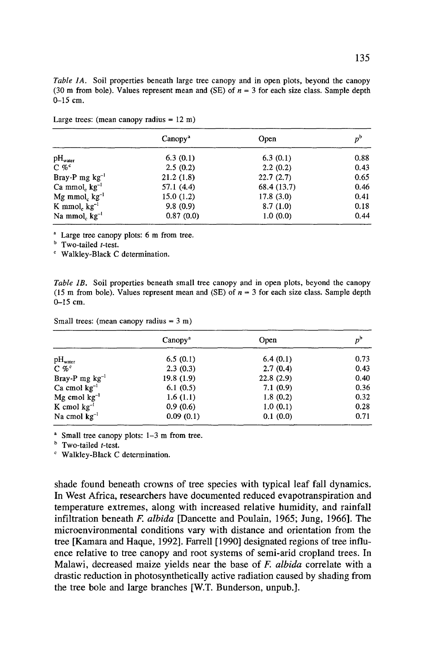*Table JA.* Soil properties beneath large tree canopy and in open plots, beyond the canopy (30 m from bole). Values represent mean and (SE) of  $n = 3$  for each size class. Sample depth 0-15 cm.

|                                     | Canopy <sup>a</sup> | Open        | $p^{\rm b}$ |
|-------------------------------------|---------------------|-------------|-------------|
| $\rm pH_{\rm water}$                | 6.3(0.1)            | 6.3(0.1)    | 0.88        |
| $C \mathcal{C}^c$                   | 2.5(0.2)            | 2.2(0.2)    | 0.43        |
| Bray-P mg $kg^{-1}$                 | 21.2(1.8)           | 22.7(2.7)   | 0.65        |
| $Ca \text{ mmol}_c \text{ kg}^{-1}$ | 57.1(4.4)           | 68.4 (13.7) | 0.46        |
| Mg mmol <sub>c</sub> $kg^{-1}$      | 15.0(1.2)           | 17.8(3.0)   | 0.41        |
| K mmol, $kg^{-1}$                   | 9.8(0.9)            | 8.7(1.0)    | 0.18        |
| Na mmol, $kg^{-1}$                  | 0.87(0.0)           | 1.0(0.0)    | 0.44        |

Large trees: (mean canopy radius  $= 12$  m)

<sup>a</sup> Large tree canopy plots: 6 m from tree.

 $b$  Two-tailed *t*-test.

c Walkley-Black C determination.

*Table JB.* Soil properties beneath small tree canopy and in open plots, beyond the canopy (15 m from bole). Values represent mean and (SE) of  $n = 3$  for each size class. Sample depth 0-15 cm.

| Small trees: (mean canopy radius $= 3$ m) |  |  |  |
|-------------------------------------------|--|--|--|
|-------------------------------------------|--|--|--|

|                     | Canopy <sup>a</sup> | Open      | $p^{\rm b}$ |
|---------------------|---------------------|-----------|-------------|
| $pH_{water}$        | 6.5(0.1)            | 6.4(0.1)  | 0.73        |
| $C \mathcal{C}^c$   | 2.3(0.3)            | 2.7(0.4)  | 0.43        |
| Bray-P mg $kg^{-1}$ | 19.8(1.9)           | 22.8(2.9) | 0.40        |
| $Ca$ cmol $kg^{-1}$ | 6.1(0.5)            | 7.1(0.9)  | 0.36        |
| $Mg$ cmol $kg^{-1}$ | 1.6(1.1)            | 1.8(0.2)  | 0.32        |
| K cmol $kg^{-1}$    | 0.9(0.6)            | 1.0(0.1)  | 0.28        |
| Na cmol $kg^{-1}$   | 0.09(0.1)           | 0.1(0.0)  | 0.71        |

 $\textdegree$  Small tree canopy plots: 1-3 m from tree.

 $<sup>b</sup>$  Two-tailed *t*-test.</sup>

c Walkley-Black C determination.

shade found beneath crowns of tree species with typical leaf fall dynamics. In West Africa, researchers have documented reduced evapotranspiration and temperature extremes, along with increased relative humidity, and rainfall infiltration beneath F. *albida* [Dancette and Poulain, 1965; Jung, 1966]. The microenvironmental conditions vary with distance and orientation from the tree [Kamara and Haque, 1992]. Farrell [1990] designated regions of tree influence relative to tree canopy and root systems of semi-arid cropland trees. In Malawi, decreased maize yields near the base of *F. albida* correlate with a drastic reduction in photosynthetically active radiation caused by shading from the tree bole and large branches [W.T. Bunderson, unpub.].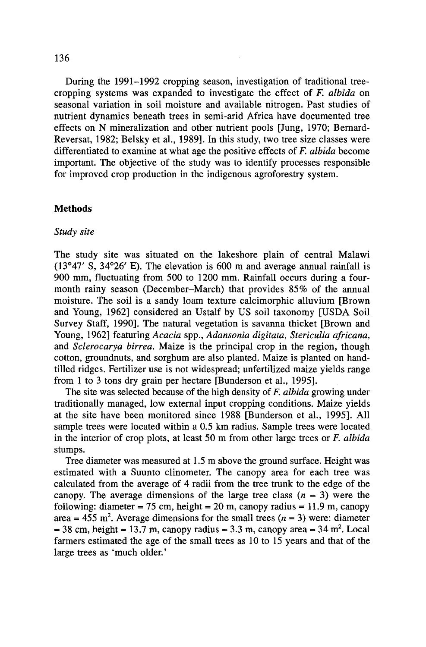During the 1991-1992 cropping season, investigation of traditional treecropping systems was expanded to investigate the effect of *F. albida* on seasonal variation in soil moisture and available nitrogen. Past studies of nutrient dynamics beneath trees in semi-arid Africa have documented tree effects on N mineralization and other nutrient pools [Jung, 1970; Bemard-Reversat, 1982; Belsky et al., 1989]. In this study, two tree size classes were differentiated to examine at what age the positive effects of *F. albida* become important. The objective of the study was to identify processes responsible for improved crop production in the indigenous agroforestry system.

## **Methods**

# *Study site*

The study site was situated on the lakeshore plain of central Malawi (13°47' S, 34°26' E). The elevation is 600 m and average annual rainfall is 900 mm, fluctuating from 500 to 1200 mm. Rainfall occurs during a fourmonth rainy season (December-March) that provides 85% of the annual moisture. The soil is a sandy loam texture calcimorphic alluvium [Brown and Young, 1962] considered an Ustalf by US soil taxonomy [USDA Soil Survey Staff, 1990]. The natural vegetation is savanna thicket [Brown and Young, 1962] featuring *Acacia* spp., *Adansonia digitata, Stericulia africana,*  and *Sclerocarya birrea.* Maize is the principal crop in the region, though cotton, groundnuts, and sorghum are also planted. Maize is planted on handtilled ridges. Fertilizer use is not widespread; unfertilized maize yields range from 1 to 3 tons dry grain per hectare [Bunderson et al., 1995].

The site was selected because of the high density of *F. albida* growing under traditionally managed, low external input cropping conditions. Maize yields at the site have been monitored since 1988 [Bunderson et al., 1995]. All sample trees were located within a 0.5 km radius. Sample trees were located in the interior of crop plots, at least 50 m from other large trees or *F. albida*  stumps.

Tree diameter was measured at 1.5 m above the ground surface. Height was estimated with a Suunto clinometer. The canopy area for each tree was calculated from the average of 4 radii from the tree trunk to the edge of the canopy. The average dimensions of the large tree class  $(n = 3)$  were the following: diameter = 75 cm, height = 20 m, canopy radius = 11.9 m, canopy area = 455 m<sup>2</sup>. Average dimensions for the small trees ( $n = 3$ ) were: diameter  $= 38$  cm, height  $= 13.7$  m, canopy radius  $= 3.3$  m, canopy area  $= 34$  m<sup>2</sup>. Local farmers estimated the age of the small trees as 10 to 15 years and that of the large trees as 'much older.'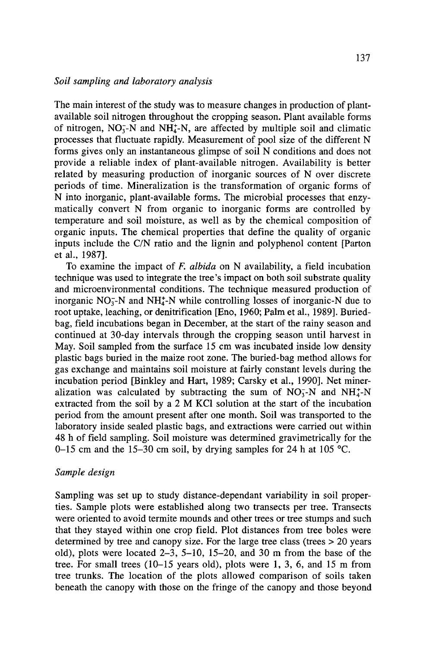The main interest of the study was to measure changes in production of plantavailable soil nitrogen throughout the cropping season. Plant available forms of nitrogen,  $NO_3^-N$  and  $NH_4^+N$ , are affected by multiple soil and climatic processes that fluctuate rapidly. Measurement of pool size of the different N forms gives only an instantaneous glimpse of soil N conditions and does not provide a reliable index of plant-available nitrogen. Availability is better related by measuring production of inorganic sources of N over discrete periods of time. Mineralization is the transformation of organic forms of N into inorganic, plant-available forms. The microbial processes that enzymatically convert N from organic to inorganic forms are controlled by temperature and soil moisture, as well as by the chemical composition of organic inputs. The chemical properties that define the quality of organic inputs include the C/N ratio and the lignin and polyphenol content [Parton et al., 1987].

To examine the impact of *F. albida* on N availability, a field incubation technique was used to integrate the tree's impact on both soil substrate quality and microenvironmental conditions. The technique measured production of inorganic  $NO<sub>3</sub>$ -N and  $NH<sub>4</sub>$ -N while controlling losses of inorganic-N due to root uptake, leaching, or denitrification [Eno, 1960; Palm et al., 1989]. Buriedbag, field incubations began in December, at the start of the rainy season and continued at 30-day intervals through the cropping season until harvest in May. Soil sampled from the surface 15 cm was incubated inside low density plastic bags buried in the maize root zone. The buried-bag method allows for gas exchange and maintains soil moisture at fairly constant levels during the incubation period [Binkley and Hart, 1989; Carsky et al., 1990]. Net mineralization was calculated by subtracting the sum of  $NO<sub>3</sub>-N$  and  $NH<sub>4</sub><sup>+</sup>-N$ extracted from the soil by a 2 M KCl solution at the start of the incubation period from the amount present after one month. Soil was transported to the laboratory inside sealed plastic bags, and extractions were carried out within 48 h of field sampling. Soil moisture was determined gravimetrically for the 0-15 cm and the 15-30 cm soil, by drying samples for 24 h at 105 °C.

## *Sample design*

Sampling was set up to study distance-dependant variability in soil properties. Sample plots were established along two transects per tree. Transects were oriented to avoid termite mounds and other trees or tree stumps and such that they stayed within one crop field. Plot distances from tree boles were determined by tree and canopy size. For the large tree class (trees > 20 years old), plots were located  $2-3$ ,  $5-10$ ,  $15-20$ , and 30 m from the base of the tree. For small trees (10-15 years old), plots were 1, 3, 6, and 15 m from tree trunks. The location of the plots allowed comparison of soils taken beneath the canopy with those on the fringe of the canopy and those beyond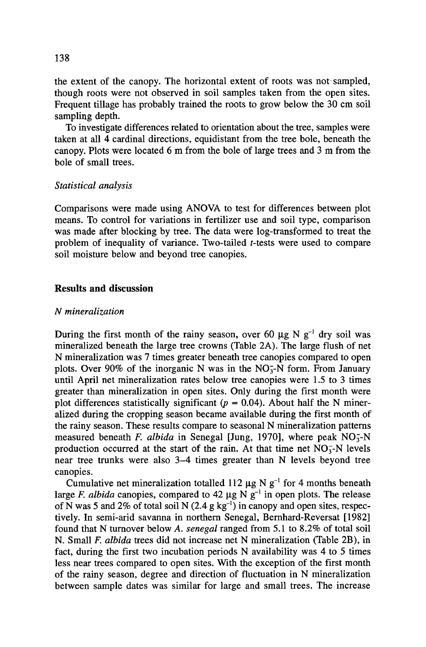the extent of the canopy. The horizontal extent of roots was not sampled, though roots were not observed in soil samples taken from the open sites. Frequent tillage has probably trained the roots to grow below the 30 cm soil sampling depth.

To investigate differences related to orientation about the tree, samples were taken at all 4 cardinal directions, equidistant from the tree bole, beneath the canopy. Plots were located 6 m from the bole of large trees and 3 m from the bole of small trees.

#### *Statistical analysis*

Comparisons were made using ANOVA to test for differences between plot means. To control for variations in fertilizer use and soil type, comparison was made after blocking by tree. The data were log-transformed to treat the problem of inequality of variance. Two-tailed t-tests were used to compare soil moisture below and beyond tree canopies.

# **Results and discussion**

#### *N mineralization*

During the first month of the rainy season, over 60  $\mu$ g N g<sup>-1</sup> dry soil was mineralized beneath the large tree crowns (Table 2A). The large flush of net N mineralization was 7 times greater beneath tree canopies compared to open plots. Over 90% of the inorganic N was in the  $NO<sub>3</sub>$ -N form. From January until April net mineralization rates below tree canopies were 1.5 to 3 times greater than mineralization in open sites. Only during the first month were plot differences statistically significant ( $p = 0.04$ ). About half the N mineralized during the cropping season became available during the first month of the rainy season. These results compare to seasonal N mineralization patterns measured beneath *F. albida* in Senegal [Jung, 1970], where peak NO<sub>3</sub>-N production occurred at the start of the rain. At that time net  $NO<sub>5</sub>$ -N levels near tree trunks were also 3-4 times greater than N levels beyond tree canopies.

Cumulative net mineralization totalled 112  $\mu$ g N g<sup>-1</sup> for 4 months beneath large *F. albida* canopies, compared to 42  $\mu$ g N g<sup>-1</sup> in open plots. The release of N was 5 and 2% of total soil N  $(2.4 \text{ g kg}^{-1})$  in canopy and open sites, respectively. In semi-arid savanna in northern Senegal, Bernhard-Reversat [1982] found that N turnover below *A. senegal* ranged from 5.1 to 8.2% of total soil N. Small *F. albida* trees did not increase net N mineralization (Table 2B), in fact, during the first two incubation periods N availability was 4 to 5 times less near trees compared to open sites. With the exception of the first month of the rainy season, degree and direction of fluctuation in N mineralization between sample dates was similar for large and small trees. The increase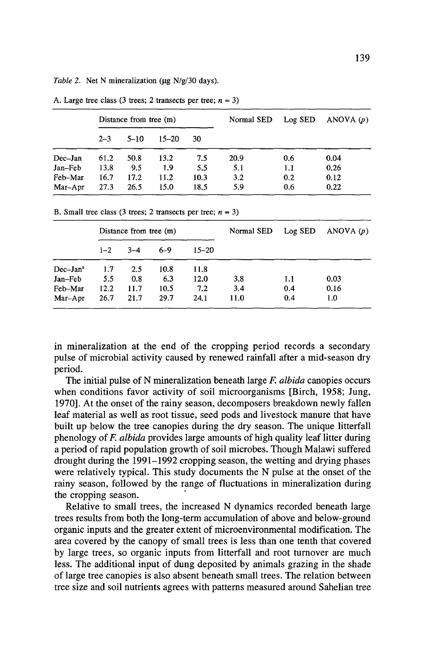*Table 2.* Net N mineralization (µg N/g/30 days).

|         |         | Distance from tree (m) |           |      | Normal SED | Log SED | ANOVA $(p)$ |
|---------|---------|------------------------|-----------|------|------------|---------|-------------|
|         | $2 - 3$ | $5 - 10$               | $15 - 20$ | 30   |            |         |             |
| Dec-Jan | 61.2    | 50.8                   | 13.2      | 7.5  | 20.9       | 0.6     | 0.04        |
| Jan-Feb | 13.8    | 9.5                    | 1.9       | 5.5  | 5.1        | 1.1     | 0.26        |
| Feb-Mar | 16.7    | 17.2                   | 11.2      | 10.3 | 3.2        | 0.2     | 0.12        |
| Mar-Apr | 27.3    | 26.5                   | 15.0      | 18.5 | 5.9        | 0.6     | 0.22        |

A. Large tree class (3 trees; 2 transects per tree;  $n = 3$ )

B. Small tree class (3 trees; 2 transects per tree;  $n = 3$ )

|            |         | Distance from tree (m) |         |           | Normal SED | Log SED | ANOVA $(p)$ |
|------------|---------|------------------------|---------|-----------|------------|---------|-------------|
|            | $1 - 2$ | $3 - 4$                | $6 - 9$ | $15 - 20$ |            |         |             |
| $Dec-Jana$ | 1.7     | 2.5                    | 10.8    | 11.8      |            |         |             |
| Jan–Feb    | 5.5     | 0.8                    | 6.3     | 12.0      | 3.8        | 1.1     | 0.03        |
| Feb-Mar    | 12.2    | 11.7                   | 10.5    | 7.2       | 3.4        | 0.4     | 0.16        |
| Mar-Apr    | 26.7    | 21.7                   | 29.7    | 24.1      | 11.0       | 0.4     | 1.0         |

in mineralization at the end of the cropping period records a secondary pulse of microbial activity caused by renewed rainfall after a mid-season dry period.

The initial pulse of N mineralization beneath large *F. albida* canopies occurs when conditions favor activity of soil microorganisms [Birch, 1958; Jung, 1970]. At the onset of the rainy season, decomposers breakdown newly fallen leaf material as well as root tissue, seed pods and livestock manure that have built up below the tree canopies during the dry season. The unique litterfall phenology of *F. albida* provides large amounts of high quality leaf litter during a period of rapid population growth of soil microbes. Though Malawi suffered drought during the 1991-1992 cropping season, the wetting and drying phases were relatively typical. This study documents the N pulse at the onset of the rainy season, followed by the range of fluctuations in mineralization during the cropping season.

Relative to small trees, the increased N dynamics recorded beneath large trees results from both the long-term accumulation of above and below-ground organic inputs and the greater extent of microenvironmental modification. The area covered by the canopy of small trees is less than one tenth that covered by large trees, so organic inputs from litterfall and root turnover are much less. The additional input of dung deposited by animals grazing in the shade of large tree canopies is also absent beneath small trees. The relation between tree size and soil nutrients agrees with patterns measured around Sahelian tree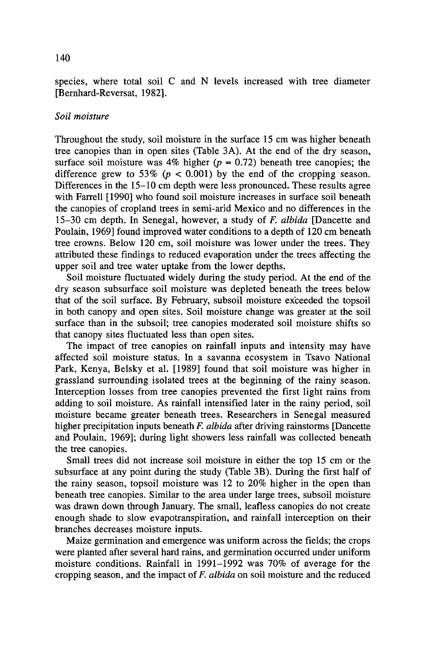species, where total soil C and N levels increased with tree diameter [Bernhard-Reversat, 1982].

#### *Soil moisture*

Throughout the study, soil moisture in the surface 15 cm was higher beneath tree canopies than in open sites (Table 3A). At the end of the dry season, surface soil moisture was 4% higher  $(p = 0.72)$  beneath tree canopies; the difference grew to 53% ( $p < 0.001$ ) by the end of the cropping season. Differences in the 15-10 cm depth were less pronounced. These results agree with Farrell [1990] who found soil moisture increases in surface soil beneath the canopies of cropland trees in semi-arid Mexico and no differences in the 15-30 cm depth. In Senegal, however, a study of *F. albida* [Dancette and Poulain, 1969] found improved water conditions to a depth of 120 cm beneath tree crowns. Below 120 cm, soil moisture was lower under the trees. They attributed these findings to reduced evaporation under the trees affecting the upper soil and tree water uptake from the lower depths.

Soil moisture fluctuated widely during the study period. At the end of the dry season subsurface soil moisture was depleted beneath the trees below that of the soil surface. By February, subsoil moisture exceeded the topsoil in both canopy and open sites. Soil moisture change was greater at the soil surface than in the subsoil; tree canopies moderated soil moisture shifts so that canopy sites fluctuated less than open sites.

The impact of tree canopies on rainfall inputs and intensity may have affected soil moisture status. In a savanna ecosystem in Tsavo National Park, Kenya, Belsky et al. [1989] found that soil moisture was higher in grassland surrounding isolated trees at the beginning of the rainy season. Interception losses from tree canopies prevented the first light rains from adding to soil moisture. As rainfall intensified later in the rainy period, soil moisture became greater beneath trees. Researchers in Senegal measured higher precipitation inputs beneath *F. albida* after driving rainstorms [Dancette and Poulain, 1969]; during light showers less rainfall was collected beneath the tree canopies.

Small trees did not increase soil moisture in either the top 15 cm or the subsurface at any point during the study (Table 3B). During the first half of the rainy season, topsoil moisture was 12 to 20% higher in the open than beneath tree canopies. Similar to the area under large trees, subsoil moisture was drawn down through January. The small, leafless canopies do not create enough shade to slow evapotranspiration, and rainfall interception on their branches decreases moisture inputs.

Maize germination and emergence was uniform across the fields; the crops were planted after several hard rains, and germination occurred under uniform moisture conditions. Rainfall in 1991-1992 was 70% of average for the cropping season, and the impact of *F. albida* on soil moisture and the reduced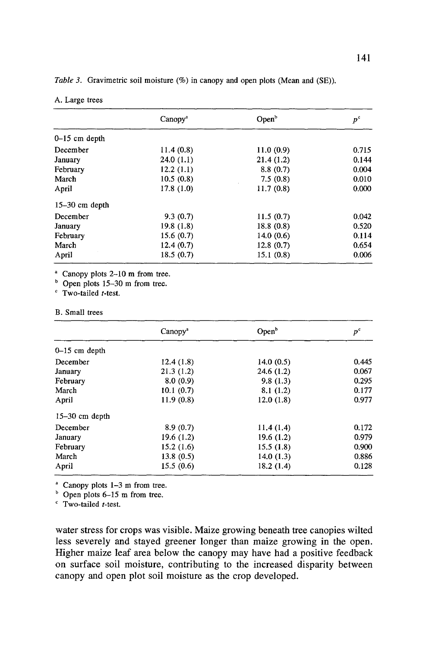| Table 3. Gravimetric soil moisture (%) in canopy and open plots (Mean and (SE)). |  |  |  |  |  |
|----------------------------------------------------------------------------------|--|--|--|--|--|
|----------------------------------------------------------------------------------|--|--|--|--|--|

| A. Large trees |  |  |  |
|----------------|--|--|--|
|----------------|--|--|--|

|                  | Canopy <sup>a</sup> | Open <sup>b</sup> | $p^{\text{c}}$ |
|------------------|---------------------|-------------------|----------------|
| $0-15$ cm depth  |                     |                   |                |
| December         | 11.4(0.8)           | 11.0(0.9)         | 0.715          |
| January          | 24.0(1.1)           | 21.4(1.2)         | 0.144          |
| February         | 12.2(1.1)           | 8.8(0.7)          | 0.004          |
| March            | 10.5(0.8)           | 7.5(0.8)          | 0.010          |
| April            | 17.8(1.0)           | 11.7(0.8)         | 0.000          |
| $15-30$ cm depth |                     |                   |                |
| December         | 9.3(0.7)            | 11.5(0.7)         | 0.042          |
| January          | 19.8(1.8)           | 18.8(0.8)         | 0.520          |
| February         | 15.6(0.7)           | 14.0(0.6)         | 0.114          |
| March            | 12.4(0.7)           | 12.8(0.7)         | 0.654          |
| April            | 18.5(0.7)           | 15.1(0.8)         | 0.006          |

<sup>a</sup> Canopy plots 2-10 m from tree.

 $b$  Open plots 15-30 m from tree.

' Two-tailed *t-test.* 

#### B. Small trees

|                  | Canopy <sup>a</sup> | Open <sup>b</sup> | $p^{\rm c}$ |
|------------------|---------------------|-------------------|-------------|
| $0-15$ cm depth  |                     |                   |             |
| December         | 12.4(1.8)           | 14.0(0.5)         | 0.445       |
| January          | 21.3(1.2)           | 24.6(1.2)         | 0.067       |
| February         | 8.0(0.9)            | 9.8(1.3)          | 0.295       |
| March            | 10.1(0.7)           | 8.1(1.2)          | 0.177       |
| April            | 11.9(0.8)           | 12.0(1.8)         | 0.977       |
| $15-30$ cm depth |                     |                   |             |
| December         | 8.9(0.7)            | 11.4(1.4)         | 0.172       |
| January          | 19.6 (1.2)          | 19.6(1.2)         | 0.979       |
| February         | 15.2(1.6)           | 15.5(1.8)         | 0.900       |
| March            | 13.8(0.5)           | 14.0 $(1.3)$      | 0.886       |
| April            | 15.5(0.6)           | 18.2(1.4)         | 0.128       |

a Canopy plots 1-3 m from tree.

 $b$  Open plots 6-15 m from tree.

' Two-tailed *t-test.* 

water stress for crops was visible. Maize growing beneath tree canopies wilted less severely and stayed greener longer than maize growing in the open. Higher maize leaf area below the canopy may have had a positive feedback on surface soil moisture, contributing to the increased disparity between canopy and open plot soil moisture as the crop developed.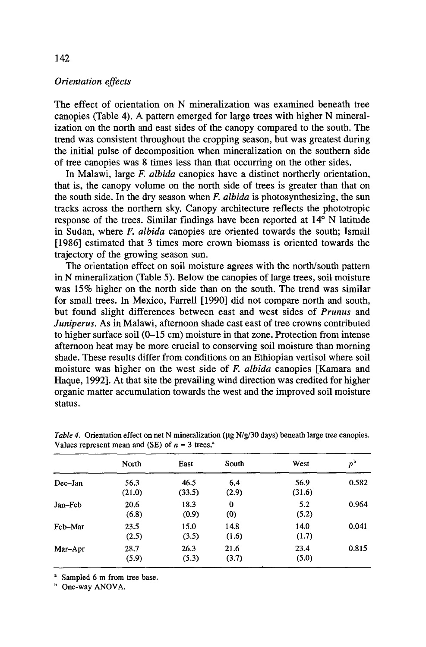## *Orientation effects*

The effect of orientation on N mineralization was examined beneath tree canopies (Table 4). A pattern emerged for large trees with higher N mineralization on the north and east sides of the canopy compared to the south. The trend was consistent throughout the cropping season, but was greatest during the initial pulse of decomposition when mineralization on the southern side of tree canopies was 8 times less than that occurring on the other sides.

In Malawi, large *F. albida* canopies have a distinct northerly orientation, that is, the canopy volume on the north side of trees is greater than that on the south side. In the dry season when *F. albida* is photosynthesizing, the sun tracks across the northern sky. Canopy architecture reflects the phototropic response of the trees. Similar findings have been reported at 14° N latitude in Sudan, where *F. albida* canopies are oriented towards the south; Ismail [1986] estimated that 3 times more crown biomass is oriented towards the trajectory of the growing season sun.

The orientation effect on soil moisture agrees with the north/south pattern in N mineralization (Table 5). Below the canopies of large trees, soil moisture was 15% higher on the north side than on the south. The trend was similar for small trees. In Mexico, Farrell [1990] did not compare north and south, but found slight differences between east and west sides of *Prunus* and *Juniperus.* As in Malawi, afternoon shade cast east of tree crowns contributed to higher surface soil (0-15 cm) moisture in that zone. Protection from intense afternoon heat may be more crucial to conserving soil moisture than morning shade. These results differ from conditions on an Ethiopian vertisol where soil moisture was higher on the west side of *F. albida* canopies [Kamara and Haque, 1992]. At that site the prevailing wind direction was credited for higher organic matter accumulation towards the west and the improved soil moisture status.

|         | North          | East           | South           | West           | $p^{\rm b}$ |
|---------|----------------|----------------|-----------------|----------------|-------------|
| Dec-Jan | 56.3<br>(21.0) | 46.5<br>(33.5) | 6.4<br>(2.9)    | 56.9<br>(31.6) | 0.582       |
| Jan–Feb | 20.6<br>(6.8)  | 18.3<br>(0.9)  | $\bf{0}$<br>(0) | 5.2<br>(5.2)   | 0.964       |
| Feb-Mar | 23.5<br>(2.5)  | 15.0<br>(3.5)  | 14.8<br>(1.6)   | 14.0<br>(1.7)  | 0.041       |
| Mar-Apr | 28.7<br>(5.9)  | 26.3<br>(5.3)  | 21.6<br>(3.7)   | 23.4<br>(5.0)  | 0.815       |

*Table 4.* Orientation effect on net N mineralization ( $\mu$ g N/g/30 days) beneath large tree canopies. Values represent mean and (SE) of  $n = 3$  trees.<sup>8</sup>

<sup>a</sup> Sampled 6 m from tree base.

<sup>b</sup> One-way ANOVA.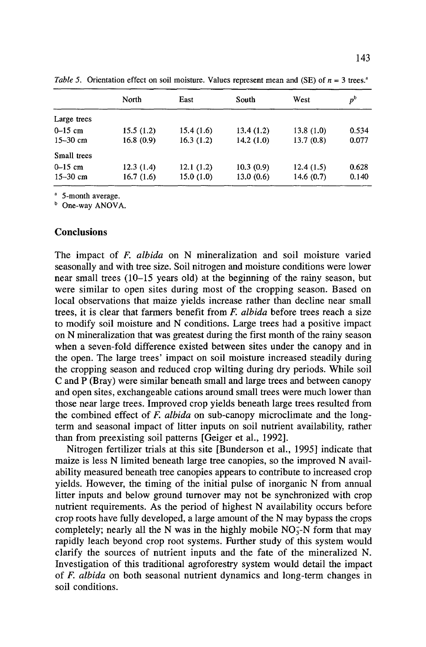|              | North     | East      | South     | West      | $p^{\rm b}$ |
|--------------|-----------|-----------|-----------|-----------|-------------|
| Large trees  |           |           |           |           |             |
| $0 - 15$ cm  | 15.5(1.2) | 15.4(1.6) | 13.4(1.2) | 13.8(1.0) | 0.534       |
| $15 - 30$ cm | 16.8(0.9) | 16.3(1.2) | 14.2(1.0) | 13.7(0.8) | 0.077       |
| Small trees  |           |           |           |           |             |
| $0 - 15$ cm  | 12.3(1.4) | 12.1(1.2) | 10.3(0.9) | 12.4(1.5) | 0.628       |
| $15 - 30$ cm | 16.7(1.6) | 15.0(1.0) | 13.0(0.6) | 14.6(0.7) | 0.140       |

*Table 5.* Orientation effect on soil moisture. Values represent mean and (SE) of  $n = 3$  trees.<sup>3</sup>

<sup>a</sup> 5-month average.

**b** One-way ANOVA.

#### **Conclusions**

The impact of *F. albida* on N mineralization and soil moisture varied seasonally and with tree size. Soil nitrogen and moisture conditions were lower near small trees (10-15 years old) at the beginning of the rainy season, but were similar to open sites during most of the cropping season. Based on local observations that maize yields increase rather than decline near small trees, it is clear that farmers benefit from *F. albida* before trees reach a size to modify soil moisture and N conditions. Large trees had a positive impact on N mineralization that was greatest during the first month of the rainy season when a seven-fold difference existed between sites under the canopy and in the open. The large trees' impact on soil moisture increased steadily during the cropping season and reduced crop wilting during dry periods. While soil C and P (Bray) were similar beneath small and large trees and between canopy and open sites, exchangeable cations around small trees were much lower than those near large trees. Improved crop yields beneath large trees resulted from the combined effect of *F. albida* on sub-canopy microclimate and the longterm and seasonal impact of litter inputs on soil nutrient availability, rather than from preexisting soil patterns [Geiger et al., 1992].

Nitrogen fertilizer trials at this site [Bunderson et al., 1995] indicate that maize is less N limited beneath large tree canopies, so the improved N availability measured beneath tree canopies appears to contribute to increased crop yields. However, the timing of the initial pulse of inorganic N from annual litter inputs and below ground turnover may not be synchronized with crop nutrient requirements. As the period of highest N availability occurs before crop roots have fully developed, a large amount of the N may bypass the crops completely; nearly all the N was in the highly mobile  $NO<sub>3</sub>-N$  form that may rapidly leach beyond crop root systems. Further study of this system would clarify the sources of nutrient inputs and the fate of the mineralized N. Investigation of this traditional agroforestry system would detail the impact of *F. albida* on both seasonal nutrient dynamics and long-term changes in soil conditions.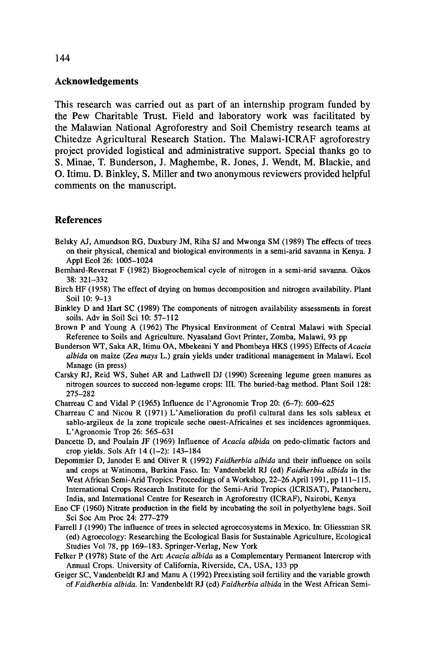### **Acknowledgements**

This research was carried out as part of an internship program funded by the Pew Charitable Trust. Field and laboratory work was facilitated by the Malawian National Agroforestry and Soil Chemistry research teams at Chitedze Agricultural Research Station. The Malawi-ICRAF agroforestry project provided logistical and administrative support. Special thanks go to S. Minae, **T.** Bunderson, J. Maghembe, R. Jones, J. Wendt, M. Blackie, and 0. Itimu. D. Binkley, S. Miller and two anonymous reviewers provided helpful comments on the manuscript.

### **References**

- Belsky AJ, Amundson RG, Duxbury JM, Riha SJ and Mwonga SM (1989) The effects of trees on their physical, chemical and biological environments in a semi-arid savanna in Kenya. J Appl Ecol 26: 1005-1024
- Bernhard-Reversat F (1982) Biogeochemical cycle of nitrogen in a semi-arid savanna. Oikos 38: 321-332
- Birch HF (1958) The effect of drying on humus decomposition and nitrogen availability. Plant Soil 10: 9-13
- Binkley D and Hart SC (1989) The components of nitrogen availability assessments in forest soils. Adv in Soil Sci 10: 57-112
- Brown P and Young A (1962) The Physical Environment of Central Malawi with Special Reference to Soils and Agriculture. Nyasaland Govt Printer, Zomba, Malawi, 93 pp
- Bunderson WT, Saka AR, Itimu OA, Mbekeani Y and Phombeya HKS (1995) Effects of *Acacia albida* on maize *(Zea mays* L.) grain yields under traditional management in Malawi. Ecol Manage (in press)
- Carsky RJ, Reid WS, Suhet AR and Lathwell DJ (1990) Screening legume green manures as nitrogen sources to succeed non-legume crops: III. The buried-bag method. Plant Soil 128: 275-282
- Charreau C and Vidal P (1965) Influence de l'Agronomie Trop 20: (6-7): 600-625
- Charreau C and Nicou R (1971) L' Amelioration du profil cultural dans Jes sols sableux et sablo-argileux de la zone tropicale seche ouest-Africaines et ses incidences agronmiques. L 'Agronomie Trop 26: 565-631
- Dancette D, and Poulain JF (1969) Influence of *Acacia albida* on pedo-climatic factors and crop yields. Sols Afr 14 (1-2): 143-184
- Depommier D, Janodet E and Oliver R (1992) *Faidherbia albida* and their influence on soils and crops at Watinoma, Burkina Faso. In: Vandenbeldt RJ (ed) *Faidherbia albida* in the West African Semi-Arid Tropics: Proceedings of a Workshop, 22-26 April 1991, pp 111-115. International Crops Research Institute for the Semi-Arid Tropics (ICRISAT), Patancheru, India, and International Centre for Research in Agroforestry (ICRAF), Nairobi, Kenya
- Eno CF (1960) Nitrate production in the field by incubating the soil in polyethylene bags. Soil Sci Soc Am Proc 24: 277-279
- Farrell J (1990) The influence of trees in selected agroecosystems in Mexico. In: Gliessman SR (ed) Agroecology: Researching the Ecological Basis for Sustainable Agriculture, Ecological Studies Vol 78, pp 169-183. Springer-Verlag, New York
- Felker P (1978) State of the Art: *Acacia albida* as a Complementary Permanent Intercrop with Annual Crops. University of California, Riverside, CA, USA, 133 pp
- Geiger SC, Vandenbeldt RJ and Manu A (1992) Preexisting soil fertility and the variable growth of *Faidherbia albida.* In: Vandenbeldt RJ (ed) *Faidherbia albida* in the West African Semi-